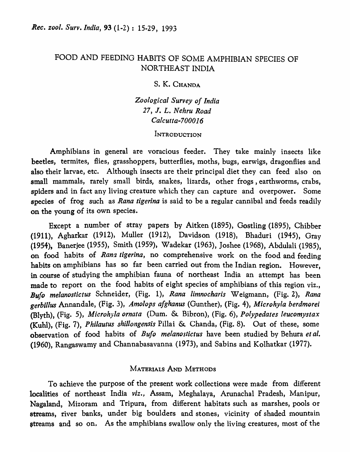# FOOD AND FEEDING HABITS OF SOME AMPHIBIAN SPECIES OF NORTHEAST INDIA

## s. K. CHANDA

*Zoological Survey of India 27,* J. L. *Nehru Road Calcutta-7000 16* 

### **INTRODUCTION**

Amphibians in general are voracious feeder. They take mainly insects like beetles, termites, flies, grasshoppers, butterflies, moths, bugs, earwigs, dragonflies and also their larvae, etc. Although insects are their principal diet they can feed also on small mammals, rarely small birds, snakes, lizards, other frogs, earthworms, crabs, spiders and in fact any living creature which they can capture and overpower. Some species of frog such as *Rana tigerina* is said to be a regular cannibal and feeds readily on the young of its own species.

Except a number of stray papers by Aitken (1895), Gostling (1895), Chibber (1911), Agharkar (1912), Muller (1912), Davidson (1918), Bhaduri (1945), Gray (1954), Banerjee (1955), Smith (1959), Wadekar (1963), Joshee (1968), Abdulali {1985), on food habits of Rana tigerina, no comprehensive work on the food and feeding habits on amphibians has so far been carried out from the Indian region. However, in course of studying the amphibian fauna of northeast India an attempt has been made to report on the food habits of eight species of amphibians of this region viz., *Bufo melanostictus* Schneider, (Fig. 1), *Rana limnocharis* Weigmann, (Fig. 2), *Rana gerbil/us* Annandale, (Fig. 3), *Amolops afghanus* (Gunther), (Fig. 4), *Microhyla berdmorei*  (Blyth), (Fig. 5), *Microhyla ornata* (Dum. & Bibron), (Fig. 6), *Polypedates leucomystax*  (Kuhl), (Fig. 7), *Phi/autus shillongensis* Pillai & Chanda, (Fig. 8). Out of these, some observation of food habits of *Bufo melanostictus* have been studied by Behura et al. (1960), Rangaswamy and Channabasavanna (1973), and Sabins and Kolhatkar (1977).

## MATERIALS AND METHODS

To achieve the purpose of the present work collections were made from different localities of northeast India *viz.,* Assam, Meghalaya, Arunachal Pradesh, Manipur, Nagaland, Mizoram and Tripura, from different habitats such as marshes, pools or streams, river banks, under big boulders and stones, vicinity of shaded mountain streams and so on. As the amphibians swallow only the living creatures, most of the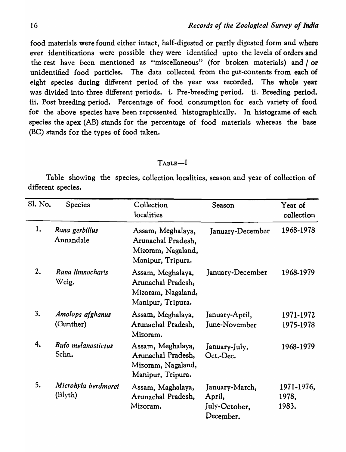food materials were found either intact, half-digested or partly digested form and where ever identifications were possible they were identified upto the levels of orders and the rest have been mentioned as "miscellaneous" (for broken materials) and / or unidentified food particles. The data collected from the gut-contents from each of eight species during different period of the year was recorded. The whole year was divided into three different periods. i. Pre-breeding period. ii. Breeding period. iii. Post breeding period. Percentage of food consumption for each variety of food for the above species have been represented histographically. In histograme of each species the apex (AB) stands for the percentage of food materials whereas the base (BC) stands for the types of food taken.

## TABLE-I

Table showing the species, collection localities, season and year of collection of different species.

| Sl. No. | Species                            | Collection<br>localities                                                           | Season                                                 | Year of<br>collection        |
|---------|------------------------------------|------------------------------------------------------------------------------------|--------------------------------------------------------|------------------------------|
| 1.      | Rana gerbillus<br>Annandale        | Assam, Meghalaya,<br>Arunachal Pradesh,<br>Mizoram, Nagaland,<br>Manipur, Tripura. | January-December                                       | 1968-1978                    |
| 2.      | Rana limnocharis<br>Weig.          | Assam, Meghalaya,<br>Arunachal Pradesh,<br>Mizoram, Nagaland,<br>Manipur, Tripura. | January-December                                       | 1968-1979                    |
| 3.      | Amolops afghanus<br>(Gunther)      | Assam, Meghalaya,<br>Arunachal Pradesh,<br>Mizoram.                                | January-April,<br>June-November                        | 1971-1972<br>1975-1978       |
| 4.      | <b>Bufo melanostictus</b><br>Schn. | Assam, Meghalaya,<br>Arunachal Pradesh,<br>Mizoram, Nagaland,<br>Manipur, Tripura. | January-July,<br>Oct.-Dec.                             | 1968-1979                    |
| 5.      | Microhyla berdmorei<br>(Blyth)     | Assam, Maghalaya,<br>Arunachal Pradesh,<br>Mizoram.                                | January-March,<br>April,<br>July-October,<br>December. | 1971-1976,<br>1978,<br>1983. |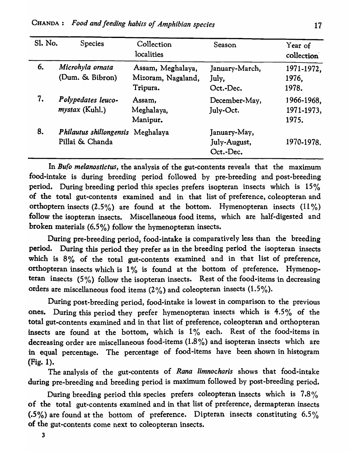| Sl. No. | <b>Species</b>                                       | Collection<br>localities                            | Season                                    | Year of<br>collection             |
|---------|------------------------------------------------------|-----------------------------------------------------|-------------------------------------------|-----------------------------------|
| 6.      | Microhyla ornata<br>(Dum. & Bibron)                  | Assam, Meghalaya,<br>Mizoram, Nagaland,<br>Tripura. | January-March,<br>July,<br>Oct.-Dec.      | 1971-1972,<br>1976.<br>1978.      |
| 7.      | Polypedates leuco-<br><i>mystax</i> (Kuhl.)          | Assam,<br>Meghalaya,<br>Manipur.                    | December-May,<br>July-Oct.                | 1966-1968,<br>1971-1973,<br>1975. |
| 8.      | Philautus shillongensis Meghalaya<br>Pillai & Chanda |                                                     | January-May,<br>July-August,<br>Oct.-Dec. | 1970-1978.                        |

In *Bufo melanostictus,* the analysis of the gut-contents reveals that the maximum food-intake is during breeding period followed by pre-breeding and post-breeding period. During breeding period this species prefers isopteran insects which is 15% of the total gut-contents examined and in that list of preference, coleopteran and orthoptern insects  $(2.5\%)$  are found at the bottom. Hymenopteran insects  $(11\%)$ follow the isopteran insects. Miscellaneous food items, which are half-digested and broken materials (6.5%) follow the hymenopteran insects.

During pre-breeding period, food-intake is comparatively less than the breeding period. During this period they prefer as in the breeding period the isopteran insects which is 8% of the total gut-contents examined and in that list of preference, orthopteran insects which is  $1\%$  is found at the bottom of preference. Hymenopteran insects  $(5\%)$  follow the isopteran insects. Rest of the food-items in decreasing orders are miscellaneous food items (2%) and coleopteran insects (1.5%).

During post-breeding period, food-intake is lowest in comparison to the previous ones. During this period they prefer hymenopteran insects which is 4.5% of the total gut-contents examined and in that list of preference, coleopteran and orthopteran insects are found at the bottom, which is  $1\%$  each. Rest of the food-items in decreasing order are miscellaneous food-items (1.8 % ) and isopteran insects which are in equal percentage. The percentage of food-items have been shown in histogram (Fig. 1).

The analysis of the gut-contents of *Rana limnocharis* shows that food-intake during pre-breeding and breeding period is maximum followed by post-breeding period.

During breeding period this species prefers coleopteran insects which is  $7.8\%$ of the total gut-contents examined and in that list of preference, dermapteran insects  $(0.5\%)$  are found at the bottom of preference. Dipteran insects constituting 6.5% of the gut-contents come next to coleopteran insects.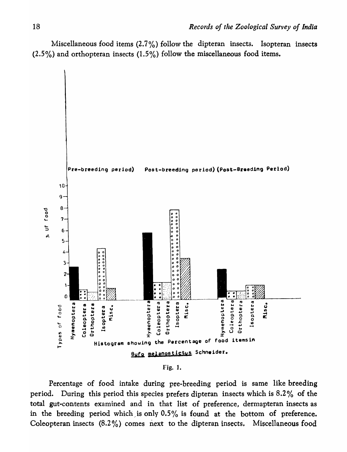Miscellaneous food items  $(2.7\%)$  follow the dipteran insects. Isopteran insects  $(2.5\%)$  and orthopteran insects  $(1.5\%)$  follow the miscellaneous food items.



Fjg. 1.

Percentage of food intake during pre-breeding period is same like breeding period. During this period this species prefers dipteran insects which is 8.2 % of the total gut-contents examined and in that list of preference, dermapteran insects as in the breeding period which is only  $0.5\%$  is found at the bottom of preference. Coleopteran insects  $(8.2\%)$  comes next to the dipteran insects. Miscellaneous food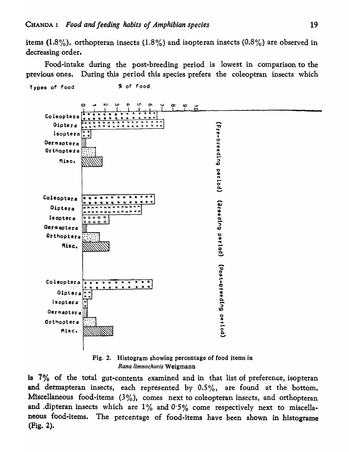items (1.8%), orthopteran insects (1.8%) and isopteran insects (0.8%) are observed in decreasing order.

Food-intake during the post-breeding period is lowest in comparison to the previous ones. During this period this species prefers the coleoptran insects which



Fig. 2. Histogram showing percentage of food items in Rana limnocharis Weigmann

is  $7\%$  of the total gut-contents examined and in that list of preference, isopteran and dermapteran insects, each represented by  $0.5\%$ , are found at the bottom. Miscellaneous food-items  $(3\%)$ , comes next to coleopteran insects, and orthopteran and dipteran insects which are  $1\%$  and  $0.5\%$  come respectively next to miscellaneous food-items. The percentage of food-items have been shown in histograme (Fig. 2).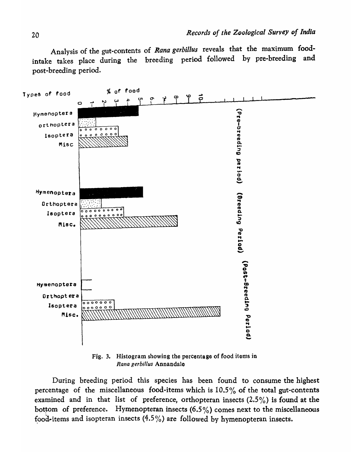Analysis of the gut-contents of *Rana gerbillus* reveals that the maximum foodintake takes place during the breeding period followed by pre-breeding and post-breeding period.



Fig. 3. Histogram showing the percentage of food items in *Rana gerbil/us* Annandale

During breeding period this species has been found to consume the highest percentage of the miscellaneous food-items which is  $10.5\%$  of the total gut-contents examined and in that list of preference, orthopteran insects (2.5%) is found at the bottom of preference. Hymenopteran insects (6.5%) comes next to the miscellaneous food-items and isopteran insects  $(4.5\%)$  are followed by hymenopteran insects.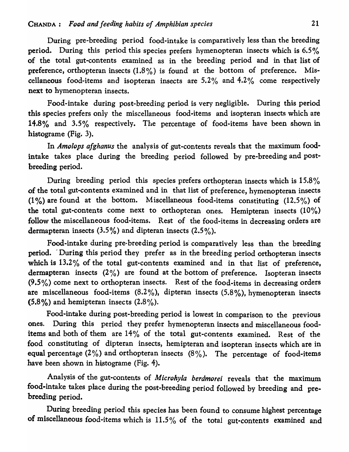During pre-breeding period food-intake is comparatively less than the breeding period. During this period this species prefers hymenopteran insects which is 6.5% of the total gut-contents examined as in the breeding period and in that list of preference, orthopteran insects  $(1.8\%)$  is found at the bottom of preference. Miscellaneous food-items and isopteran insects are  $5.2\%$  and  $4.2\%$  come respectively next to hymenopteran insects.

Food-intake during post-breeding period is very negligible. During this period this species prefers only the miscellaneous food-items and isopteran insects which are 14.8% and  $3.5\%$  respectively. The percentage of food-items have been shown in histograme (Fig. 3).

In *Amolops afghanus* the analysis of gut-contents reveals that the maximum foodintake takes place during the breeding period followed by pre-breeding and postbreeding period.

During breeding period this species prefers orthopteran insects which is  $15.8\%$ of the total gut-contents examined and in that list of preference, hymenopteran insects (1%) are found at the bottom. Miscellaneous food-items constituting  $(12.5\%)$  of the total gut-contents come next to orthopteran ones. Hemipteran insects (10%) follow the miscellaneous food-items. Rest of the food-items in decreasing orders are dermapteran insects (3.5%) and dipteran insects (2.5 *<sup>0</sup>* 10).

Food-intake during pre-breeding period is comparatively less than the breeding period. During this period they prefer as in the breeding period orthopteran insects which is 13.2% of the total gut-contents examined and in that list of preference, dermapteran insects  $(2\%)$  are found at the bottom of preference. Isopteran insects (9.5%) come next to orthopteran insects. Rest of the food-items in decreasing orders are miscellaneous food-items  $(8.2\%)$ , dipteran insects  $(5.8\%)$ , hymenopteran insects  $(5.8\%)$  and hemipteran insects  $(2.8\%)$ .

Food-intake during post-breeding period is lowest in comparison to the previous ones. During this period they prefer hymenopteran insects and miscellaneous fooditems and both of them are 14% of the total gut-contents examined. Rest of the food constituting of dipteran insects, hemipteran and isopteran insects which are in equal percentage (2%) and orthopteran insects  $(8\%)$ . The percentage of food-items have been shown in histograme (Fig. 4).

Analysis of the gut-contents of *Microhyla berdmorei* reveals that the maximum food-intake takes place during the post-breeding period followed by breeding and prebreeding period.

During breeding period this species has been found to consume highest percentage of miscellaneous food-items which is 11.5% of the total gut-contents examined and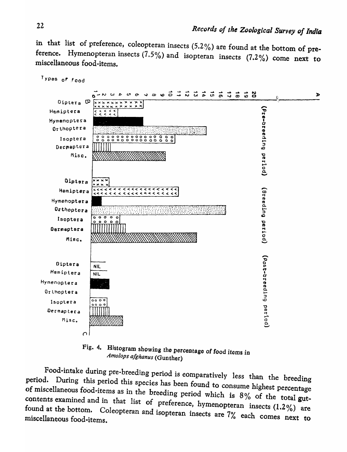in that list of preference, coleopteran insects (5.2%) are found at the bottom of preference. Hymenopteran insects  $(7.5\%)$  and isopteran insects  $(7.2\%)$  come next to miscellaneous food-items.



Fig. 4. Histogram showing the percentage of food items in Amolops afghanus (Gunther)

Food-intake during pre-breeding period is comparatively less than the breeding period. During this period this species has been found to consume highest percentage of miscellaneous food-items as in the breeding period which is 8% of the total gutcontents examined and in that list of preference, hymenopteran insects  $(1.2\%)$  are found at the bottom. Coleopteran and isopteran insects are 7% each comes next to miscellaneous food-items.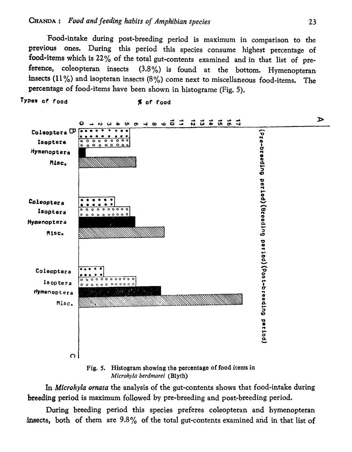Types of food

Food-intake during post-breeding period is maximum in comparison to the previous ones. During this period this species consume highest percentage of food-items which is 22% of the total gut-contents examined and in that list of preference, coleopteran insects  $(3.8\%)$  is found at the bottom. Hymenopteran insects (11%) and isopteran insects (8%) come next to miscellaneous food-items. The percentage of food-items have been shown in histograme (Fig. 5).

% of food



Fig. 5. Histogram showing the percentage of food items in Microhyla berdmorei (Blyth)

In *Microhyla ornata* the analysis of the gut-contents shows that food-intake during breeding period is maximum followed by pre-breeding and post-breeding period.

During breeding period this species preferes coleopteran and hymenopteran insects, both of them are 9.8% of the total gut-contents examined and in that list of

 $\triangleright$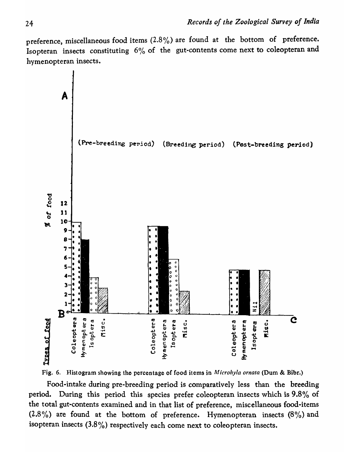preference, miscellaneous food items  $(2.8\%)$  are found at the bottom of preference. Isopteran insects constituting  $6\%$  of the gut-contents come next to coleopteran and hymenopteran insects.



Fig. 6. Histogram showing the percentage of food items in *Alicrohyla ornata* (Dum & Bibr.)

Food-intake during pre-breeding period is comparatively less than the breeding period. During this period this species prefer coleopteran insects which is 9.8% of the total gut-contents examined and in that list of preference, miscellaneous food-items  $(2.8\%)$  are found at the bottom of preference. Hymenopteran insects  $(8\%)$  and isopteran insects (3.8 *<sup>0</sup> 10)* respectively each come next to coleopteran insects.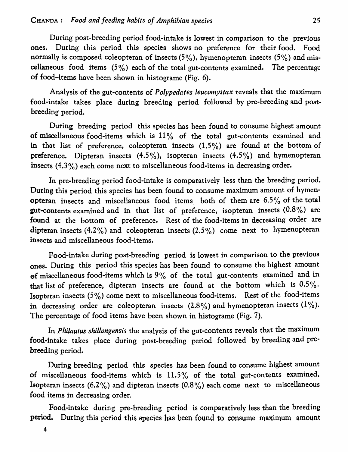During post-breeding period food-intake is lowest in comparison to the previous ones. During this period this species shows no preference for their food. Food normally is composed coleopteran of insects  $(5\%)$ , hymenopteran insects  $(5\%)$  and miscellaneous food items  $(5\%)$  each of the total gut-contents examined. The percentage of food-items have been shown in histograme (Fig. 6).

Analysis of the gut-contents of *Polypedates leucomystax* reveals that the maximum food-intake takes place during breeding period followed by pre-breeding and postbreeding period.

During breeding period this species has been found to consume highest amount of miscellaneous food-items which is  $11\%$  of the total gut-contents examined and in that list of preference, coleopteran insects  $(1.5\%)$  are found at the bottom of **preference.** Dipteran insects  $(4.5\%)$ , isopteran insects  $(4.5\%)$  and hymenopteran insects (4.3%) each come next to miscellaneous food-items in decreasing order.

In pre-breeding period food-intake is comparatively less than the breeding period. During this period this species has been found to consume maximum amount of hymenopteran insects and miscellaneous food items, both of them are 6.5% of the total gut-contents examined and in that list of preference, isopteran insects  $(0.8\%)$  are found at the bottom of preference. Rest of the food-items in decreasing order are dipteran insects  $(4.2\%)$  and coleopteran insects  $(2.5\%)$  come next to hymenopteran insects and miscellaneous food-items.

Food-intake during post-breeding period is lowest in comparison to the previous ones. During this period this species has been found to consume the highest amount of miscellaneous food-items which is *9%* of the total gut-contents examined and in that list of preference, dipteran insects are found at the bottom which is  $0.5\%$ . Isopteran insects *(5%)* come next to miscellaneous food-items. Rest of the food-items in decreasing order are coleopteran insects (2.8%) and hymenopteran insects (1%). The percentage of food items have been shown in histograme (Fig. 7).

In *Philautus shillongensis* the analysis of the gut-contents reveals that the maximum food-intake takes place during post-breeding period followed by breeding and prebreeding period.

During breeding period this species has been found to consume highest amount of miscellaneous food-items which is  $11.5\%$  of the total gut-contents examined. **Isopteran insects (6.2%) and dipteran insects (0.8%) each come next to miscellaneous** food items in decreasing order.

Food-intake during pre-breeding period is comparatively less than the breeding period. During this period this species has been found to consume maximum amount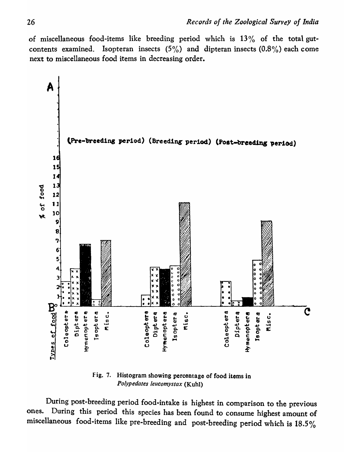of miscellaneous food-items like breeding period which is  $13\%$  of the total gutcontents examined. Isopteran insects  $(5\%)$  and dipteran insects  $(0.8\%)$  each come next to miscellaneous food items in decreasing order.



Fig. 7. Histogram showing percentage of food items in Polypedates leucomystax (Kuhl)

During post-breeding period food-intake is highest in comparison to the previous ones. During this period this species has been found to consume highest amount of miscellaneous food-items like pre-breeding and post-breeding period which is 18.5%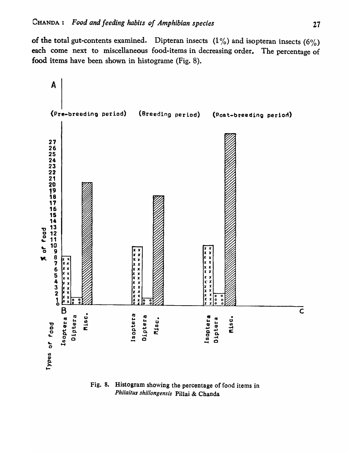of the total gut-contents examined. Dipteran insects  $(1\%)$  and isopteran insects  $(6\%)$ each come next to miscellaneous food-items in decreasing order. The percentage of food items have been shown in histograme (Fig. 8).



Fig. 8. Histogram showing the percentage of food items in Philaitus shillongensis Pillai & Chanda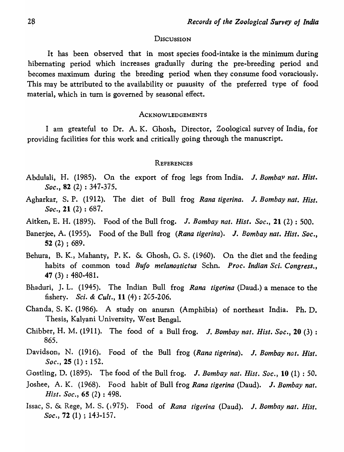#### **DISCUSSION**

It has been observed that in most species food-intake is the minimum during hibernating period which increases gradually during the pre-breeding period and becomes maximum during the breeding period when they consume food voraciously. This may be attributed to the availability or puausity of the preferred type of food material, which in turn is governed by seasonal effect.

#### ACKNOWLEDGEMENTS

I am greateful to Dr. A. K. Ghosh, Director, Zoological survey of India, for providing facilities for this work and critically going through the manuscript.

#### **REFERENCES**

- Abdulali, H. (1985). On the export of frog legs from India. J. *Bombay nat. Hist. Soc.,* 82 (2) : 347-375.
- Agharkar, S. P. (1912). The diet of Bull frog *Rana tigerina.* J. *Bombay nat. Hist. Soc.,* 21 (2) : 687.
- Aitken, E. H. (1895). Food of the Bull frog. J. *Bombay nat. Hist. Soc.,* 21 (2) : 500.
- Banerjee, A. (1955). Food of the Bull frog *(Rana tigerina).* J. *Bombay nat. Hist. Soc.,*  52 (2) ; 689.
- Behura, B. K., Mahanty, P. K. & Ghosh, G. S. (1960). On the diet and the feeding habits of COlnmon toad *Bufo melanostictus* Schn. *Proc. Indian Sci. Congress.,*  47 (3) : 480-481.
- Bhaduri, J. L. (1945). The Indian Bull frog *Rana tigerina* (Daud.) a menace to the fishery. *Sci.* & *Cult.,* 11 (4) : 2C5-206.
- Chanda, S. K. (1986). A study on anuran (Amphibia) of northeast India. Ph. D. Thesis, Kalyani University, West Bengal.
- Chibber, H. M. (1911). The food of a Bull frog. J. *Bombay nat. Hist. Soc.,* 20 (3) : 865.
- Davidson, N. (1916). Food of the Bull frog *(Rana tigerina).* J. *Bombay nat. Hist. Soc.,* 25 (1) : 152.
- Gostling, D. (1895). The food of the Bull frog. J. *Bombay nat. Hist. Soc.,* 10 (1) : 50.
- Joshee, A. K. (1968). Food habit of Bull frog *Rana tigerina* (Daud). J. *Bombay nat. Hist. Soc.,* 65 (2) : 498.
- Issac, S. & Rege, M. S. (,975). Food of *Rana tigerina* (Daud). J. *Bombay nat. Hist. Soc.,* 72 (1) ; 143-157.